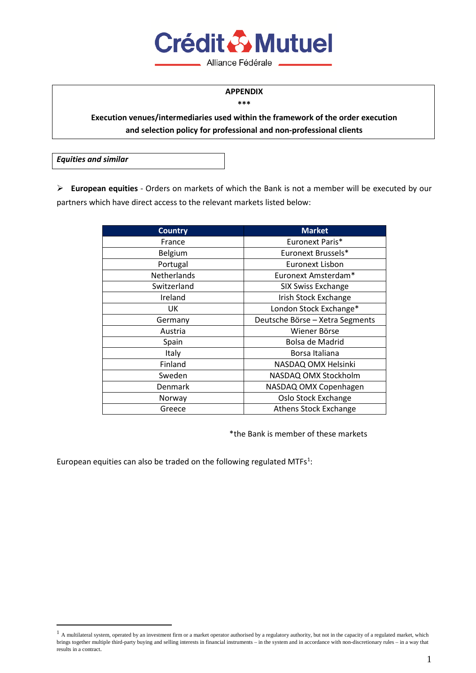

Alliance Fédérale

#### **APPENDIX \*\*\***

## **Execution venues/intermediaries used within the framework of the order execution and selection policy for professional and non-professional clients**

*Equities and similar*

 **European equities** - Orders on markets of which the Bank is not a member will be executed by our partners which have direct access to the relevant markets listed below:

| <b>Country</b>     | <b>Market</b>                   |
|--------------------|---------------------------------|
| France             | Euronext Paris*                 |
| Belgium            | Euronext Brussels*              |
| Portugal           | Euronext Lisbon                 |
| <b>Netherlands</b> | Euronext Amsterdam*             |
| Switzerland        | <b>SIX Swiss Exchange</b>       |
| Ireland            | Irish Stock Exchange            |
| UK                 | London Stock Exchange*          |
| Germany            | Deutsche Börse - Xetra Segments |
| Austria            | Wiener Börse                    |
| Spain              | Bolsa de Madrid                 |
| Italy              | Borsa Italiana                  |
| Finland            | NASDAQ OMX Helsinki             |
| Sweden             | NASDAQ OMX Stockholm            |
| Denmark            | NASDAQ OMX Copenhagen           |
| Norway             | Oslo Stock Exchange             |
| Greece             | <b>Athens Stock Exchange</b>    |

\*the Bank is member of these markets

European equities can also be traded on the following regulated MTFs $<sup>1</sup>$  $<sup>1</sup>$  $<sup>1</sup>$ :</sup>

<span id="page-0-0"></span><sup>&</sup>lt;sup>1</sup> A multilateral system, operated by an investment firm or a market operator authorised by a regulatory authority, but not in the capacity of a regulated market, which brings together multiple third-party buying and selling interests in financial instruments – in the system and in accordance with non-discretionary rules – in a way that results in a contract.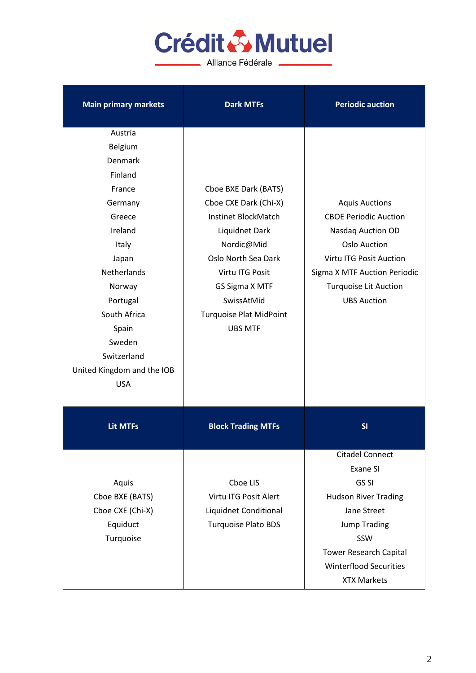# Crédit & Mutuel

Alliance Fédérale

| <b>Main primary markets</b>                                                                                                                                                                                                             | <b>Dark MTFs</b>                                                                                                                                                                                                                   | <b>Periodic auction</b>                                                                                                                                                                                                |
|-----------------------------------------------------------------------------------------------------------------------------------------------------------------------------------------------------------------------------------------|------------------------------------------------------------------------------------------------------------------------------------------------------------------------------------------------------------------------------------|------------------------------------------------------------------------------------------------------------------------------------------------------------------------------------------------------------------------|
| Austria<br>Belgium<br>Denmark<br>Finland<br>France<br>Germany<br>Greece<br>Ireland<br>Italy<br>Japan<br>Netherlands<br>Norway<br>Portugal<br>South Africa<br>Spain<br>Sweden<br>Switzerland<br>United Kingdom and the IOB<br><b>USA</b> | Cboe BXE Dark (BATS)<br>Cboe CXE Dark (Chi-X)<br>Instinet BlockMatch<br>Liquidnet Dark<br>Nordic@Mid<br>Oslo North Sea Dark<br>Virtu ITG Posit<br>GS Sigma X MTF<br>SwissAtMid<br><b>Turquoise Plat MidPoint</b><br><b>UBS MTF</b> | <b>Aquis Auctions</b><br><b>CBOE Periodic Auction</b><br>Nasdaq Auction OD<br><b>Oslo Auction</b><br>Virtu ITG Posit Auction<br>Sigma X MTF Auction Periodic<br><b>Turquoise Lit Auction</b><br><b>UBS Auction</b>     |
| <b>Lit MTFs</b>                                                                                                                                                                                                                         | <b>Block Trading MTFs</b>                                                                                                                                                                                                          | SI                                                                                                                                                                                                                     |
| Aquis<br>Cboe BXE (BATS)<br>Cboe CXE (Chi-X)<br>Equiduct<br>Turquoise                                                                                                                                                                   | Cboe LIS<br>Virtu ITG Posit Alert<br>Liquidnet Conditional<br><b>Turquoise Plato BDS</b>                                                                                                                                           | <b>Citadel Connect</b><br><b>Exane SI</b><br>GS SI<br><b>Hudson River Trading</b><br>Jane Street<br><b>Jump Trading</b><br>SSW<br><b>Tower Research Capital</b><br><b>Winterflood Securities</b><br><b>XTX Markets</b> |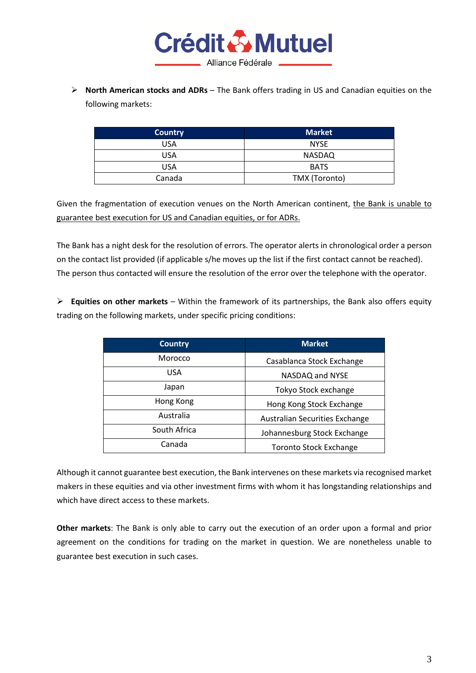

 **North American stocks and ADRs** – The Bank offers trading in US and Canadian equities on the following markets:

| <b>Country</b> | <b>Market</b> |
|----------------|---------------|
| USA            | <b>NYSE</b>   |
| USA            | <b>NASDAQ</b> |
| USA            | <b>BATS</b>   |
| Canada         | TMX (Toronto) |

Given the fragmentation of execution venues on the North American continent, the Bank is unable to guarantee best execution for US and Canadian equities, or for ADRs.

The Bank has a night desk for the resolution of errors. The operator alerts in chronological order a person on the contact list provided (if applicable s/he moves up the list if the first contact cannot be reached). The person thus contacted will ensure the resolution of the error over the telephone with the operator.

 **Equities on other markets** – Within the framework of its partnerships, the Bank also offers equity trading on the following markets, under specific pricing conditions:

| <b>Country</b> | <b>Market</b>                         |
|----------------|---------------------------------------|
| Morocco        | Casablanca Stock Exchange             |
| <b>USA</b>     | NASDAQ and NYSE                       |
| Japan          | Tokyo Stock exchange                  |
| Hong Kong      | Hong Kong Stock Exchange              |
| Australia      | <b>Australian Securities Exchange</b> |
| South Africa   | Johannesburg Stock Exchange           |
| Canada         | <b>Toronto Stock Exchange</b>         |

Although it cannot guarantee best execution, the Bank intervenes on these markets via recognised market makers in these equities and via other investment firms with whom it has longstanding relationships and which have direct access to these markets.

**Other markets**: The Bank is only able to carry out the execution of an order upon a formal and prior agreement on the conditions for trading on the market in question. We are nonetheless unable to guarantee best execution in such cases.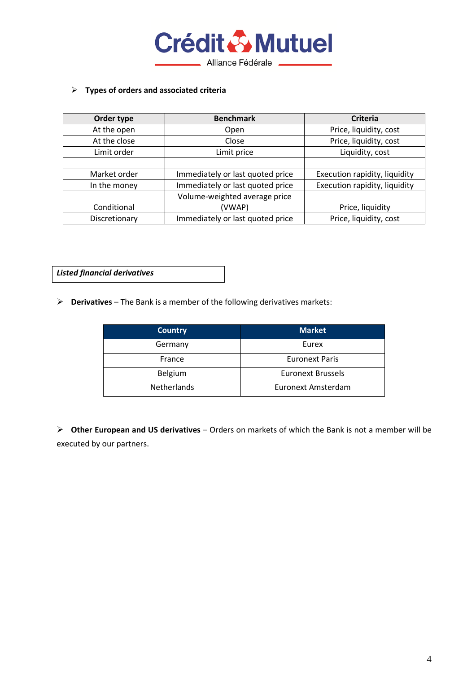

#### **Types of orders and associated criteria**

| Order type    | <b>Benchmark</b>                 | <b>Criteria</b>               |
|---------------|----------------------------------|-------------------------------|
| At the open   | Open                             | Price, liquidity, cost        |
| At the close  | Close                            | Price, liquidity, cost        |
| Limit order   | Limit price                      | Liquidity, cost               |
|               |                                  |                               |
| Market order  | Immediately or last quoted price | Execution rapidity, liquidity |
| In the money  | Immediately or last quoted price | Execution rapidity, liquidity |
|               | Volume-weighted average price    |                               |
| Conditional   | (VWAP)                           | Price, liquidity              |
| Discretionary | Immediately or last quoted price | Price, liquidity, cost        |

*Listed financial derivatives*

**Derivatives** – The Bank is a member of the following derivatives markets:

| <b>Country</b>     | <b>Market</b>            |
|--------------------|--------------------------|
| Germany            | Eurex                    |
| France             | <b>Euronext Paris</b>    |
| Belgium            | <b>Euronext Brussels</b> |
| <b>Netherlands</b> | Euronext Amsterdam       |

 **Other European and US derivatives** – Orders on markets of which the Bank is not a member will be executed by our partners.